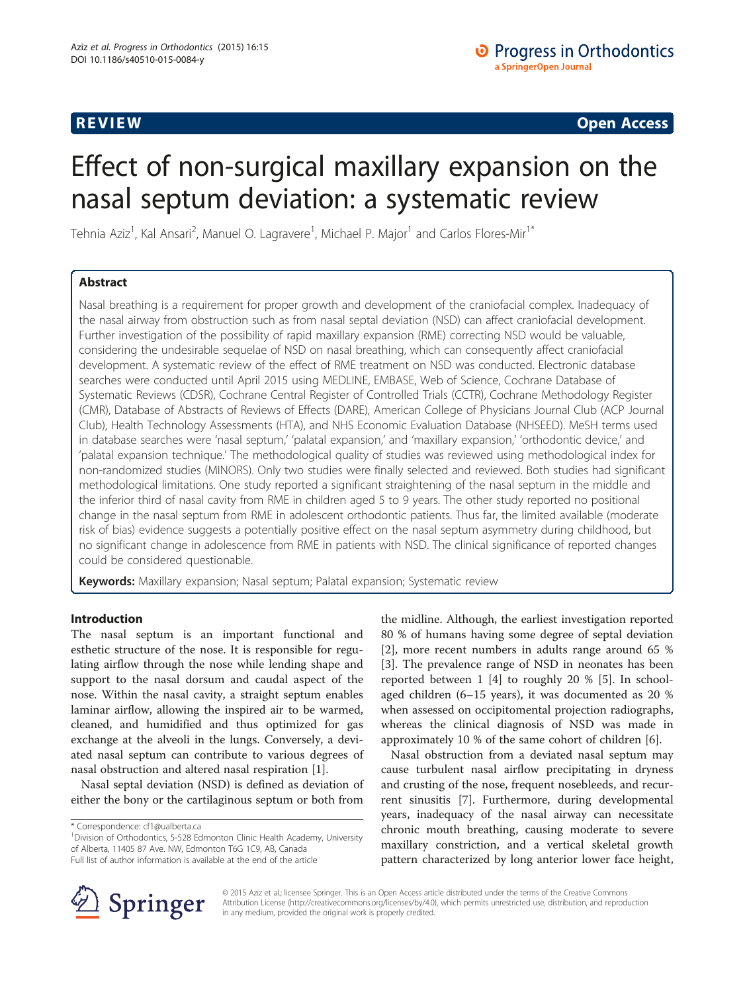**REVIEW CONSTRUCTION CONSTRUCTION CONSTRUCTS** 

# Effect of non-surgical maxillary expansion on the nasal septum deviation: a systematic review

Tehnia Aziz<sup>1</sup>, Kal Ansari<sup>2</sup>, Manuel O. Lagravere<sup>1</sup>, Michael P. Major<sup>1</sup> and Carlos Flores-Mir<sup>1\*</sup>

# Abstract

Nasal breathing is a requirement for proper growth and development of the craniofacial complex. Inadequacy of the nasal airway from obstruction such as from nasal septal deviation (NSD) can affect craniofacial development. Further investigation of the possibility of rapid maxillary expansion (RME) correcting NSD would be valuable, considering the undesirable sequelae of NSD on nasal breathing, which can consequently affect craniofacial development. A systematic review of the effect of RME treatment on NSD was conducted. Electronic database searches were conducted until April 2015 using MEDLINE, EMBASE, Web of Science, Cochrane Database of Systematic Reviews (CDSR), Cochrane Central Register of Controlled Trials (CCTR), Cochrane Methodology Register (CMR), Database of Abstracts of Reviews of Effects (DARE), American College of Physicians Journal Club (ACP Journal Club), Health Technology Assessments (HTA), and NHS Economic Evaluation Database (NHSEED). MeSH terms used in database searches were 'nasal septum,' 'palatal expansion,' and 'maxillary expansion,' 'orthodontic device,' and 'palatal expansion technique.' The methodological quality of studies was reviewed using methodological index for non-randomized studies (MINORS). Only two studies were finally selected and reviewed. Both studies had significant methodological limitations. One study reported a significant straightening of the nasal septum in the middle and the inferior third of nasal cavity from RME in children aged 5 to 9 years. The other study reported no positional change in the nasal septum from RME in adolescent orthodontic patients. Thus far, the limited available (moderate risk of bias) evidence suggests a potentially positive effect on the nasal septum asymmetry during childhood, but no significant change in adolescence from RME in patients with NSD. The clinical significance of reported changes could be considered questionable.

Keywords: Maxillary expansion; Nasal septum; Palatal expansion; Systematic review

# Introduction

The nasal septum is an important functional and esthetic structure of the nose. It is responsible for regulating airflow through the nose while lending shape and support to the nasal dorsum and caudal aspect of the nose. Within the nasal cavity, a straight septum enables laminar airflow, allowing the inspired air to be warmed, cleaned, and humidified and thus optimized for gas exchange at the alveoli in the lungs. Conversely, a deviated nasal septum can contribute to various degrees of nasal obstruction and altered nasal respiration [\[1](#page-5-0)].

Nasal septal deviation (NSD) is defined as deviation of either the bony or the cartilaginous septum or both from

<sup>1</sup> Division of Orthodontics, 5-528 Edmonton Clinic Health Academy, University of Alberta, 11405 87 Ave. NW, Edmonton T6G 1C9, AB, Canada Full list of author information is available at the end of the article

the midline. Although, the earliest investigation reported 80 % of humans having some degree of septal deviation [[2\]](#page-5-0), more recent numbers in adults range around 65 % [[3\]](#page-5-0). The prevalence range of NSD in neonates has been reported between 1 [[4\]](#page-5-0) to roughly 20 % [[5](#page-5-0)]. In schoolaged children (6–15 years), it was documented as 20 % when assessed on occipitomental projection radiographs, whereas the clinical diagnosis of NSD was made in approximately 10 % of the same cohort of children [\[6](#page-5-0)].

Nasal obstruction from a deviated nasal septum may cause turbulent nasal airflow precipitating in dryness and crusting of the nose, frequent nosebleeds, and recurrent sinusitis [[7\]](#page-5-0). Furthermore, during developmental years, inadequacy of the nasal airway can necessitate chronic mouth breathing, causing moderate to severe maxillary constriction, and a vertical skeletal growth pattern characterized by long anterior lower face height,



© 2015 Aziz et al.; licensee Springer. This is an Open Access article distributed under the terms of the Creative Commons Attribution License [\(http://creativecommons.org/licenses/by/4.0\)](http://creativecommons.org/licenses/by/4.0), which permits unrestricted use, distribution, and reproduction in any medium, provided the original work is properly credited.

<sup>\*</sup> Correspondence: [cf1@ualberta.ca](mailto:cf1@ualberta.ca) <sup>1</sup>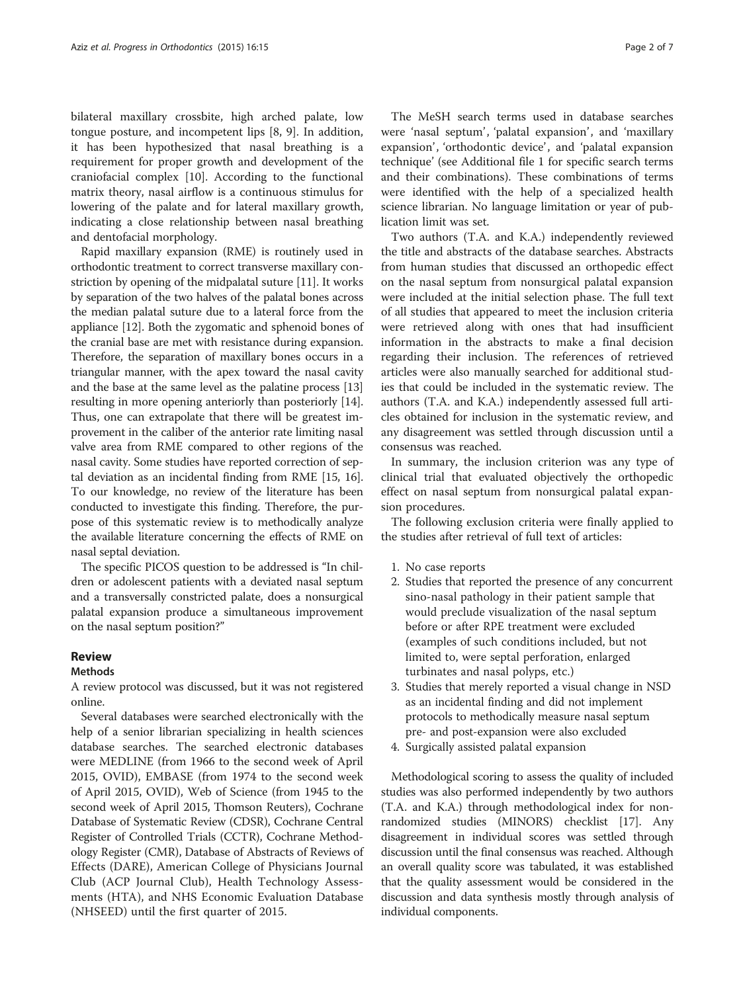bilateral maxillary crossbite, high arched palate, low tongue posture, and incompetent lips [\[8](#page-5-0), [9\]](#page-6-0). In addition, it has been hypothesized that nasal breathing is a requirement for proper growth and development of the craniofacial complex [\[10\]](#page-6-0). According to the functional matrix theory, nasal airflow is a continuous stimulus for lowering of the palate and for lateral maxillary growth, indicating a close relationship between nasal breathing and dentofacial morphology.

Rapid maxillary expansion (RME) is routinely used in orthodontic treatment to correct transverse maxillary constriction by opening of the midpalatal suture [\[11\]](#page-6-0). It works by separation of the two halves of the palatal bones across the median palatal suture due to a lateral force from the appliance [[12](#page-6-0)]. Both the zygomatic and sphenoid bones of the cranial base are met with resistance during expansion. Therefore, the separation of maxillary bones occurs in a triangular manner, with the apex toward the nasal cavity and the base at the same level as the palatine process [[13](#page-6-0)] resulting in more opening anteriorly than posteriorly [[14](#page-6-0)]. Thus, one can extrapolate that there will be greatest improvement in the caliber of the anterior rate limiting nasal valve area from RME compared to other regions of the nasal cavity. Some studies have reported correction of septal deviation as an incidental finding from RME [\[15, 16](#page-6-0)]. To our knowledge, no review of the literature has been conducted to investigate this finding. Therefore, the purpose of this systematic review is to methodically analyze the available literature concerning the effects of RME on nasal septal deviation.

The specific PICOS question to be addressed is "In children or adolescent patients with a deviated nasal septum and a transversally constricted palate, does a nonsurgical palatal expansion produce a simultaneous improvement on the nasal septum position?"

# Review

# **Methods**

A review protocol was discussed, but it was not registered online.

Several databases were searched electronically with the help of a senior librarian specializing in health sciences database searches. The searched electronic databases were MEDLINE (from 1966 to the second week of April 2015, OVID), EMBASE (from 1974 to the second week of April 2015, OVID), Web of Science (from 1945 to the second week of April 2015, Thomson Reuters), Cochrane Database of Systematic Review (CDSR), Cochrane Central Register of Controlled Trials (CCTR), Cochrane Methodology Register (CMR), Database of Abstracts of Reviews of Effects (DARE), American College of Physicians Journal Club (ACP Journal Club), Health Technology Assessments (HTA), and NHS Economic Evaluation Database (NHSEED) until the first quarter of 2015.

The MeSH search terms used in database searches were 'nasal septum', 'palatal expansion', and 'maxillary expansion', 'orthodontic device', and 'palatal expansion technique' (see Additional file [1](#page-5-0) for specific search terms and their combinations). These combinations of terms were identified with the help of a specialized health science librarian. No language limitation or year of publication limit was set.

Two authors (T.A. and K.A.) independently reviewed the title and abstracts of the database searches. Abstracts from human studies that discussed an orthopedic effect on the nasal septum from nonsurgical palatal expansion were included at the initial selection phase. The full text of all studies that appeared to meet the inclusion criteria were retrieved along with ones that had insufficient information in the abstracts to make a final decision regarding their inclusion. The references of retrieved articles were also manually searched for additional studies that could be included in the systematic review. The authors (T.A. and K.A.) independently assessed full articles obtained for inclusion in the systematic review, and any disagreement was settled through discussion until a consensus was reached.

In summary, the inclusion criterion was any type of clinical trial that evaluated objectively the orthopedic effect on nasal septum from nonsurgical palatal expansion procedures.

The following exclusion criteria were finally applied to the studies after retrieval of full text of articles:

- 1. No case reports
- 2. Studies that reported the presence of any concurrent sino-nasal pathology in their patient sample that would preclude visualization of the nasal septum before or after RPE treatment were excluded (examples of such conditions included, but not limited to, were septal perforation, enlarged turbinates and nasal polyps, etc.)
- 3. Studies that merely reported a visual change in NSD as an incidental finding and did not implement protocols to methodically measure nasal septum pre- and post-expansion were also excluded
- 4. Surgically assisted palatal expansion

Methodological scoring to assess the quality of included studies was also performed independently by two authors (T.A. and K.A.) through methodological index for nonrandomized studies (MINORS) checklist [\[17\]](#page-6-0). Any disagreement in individual scores was settled through discussion until the final consensus was reached. Although an overall quality score was tabulated, it was established that the quality assessment would be considered in the discussion and data synthesis mostly through analysis of individual components.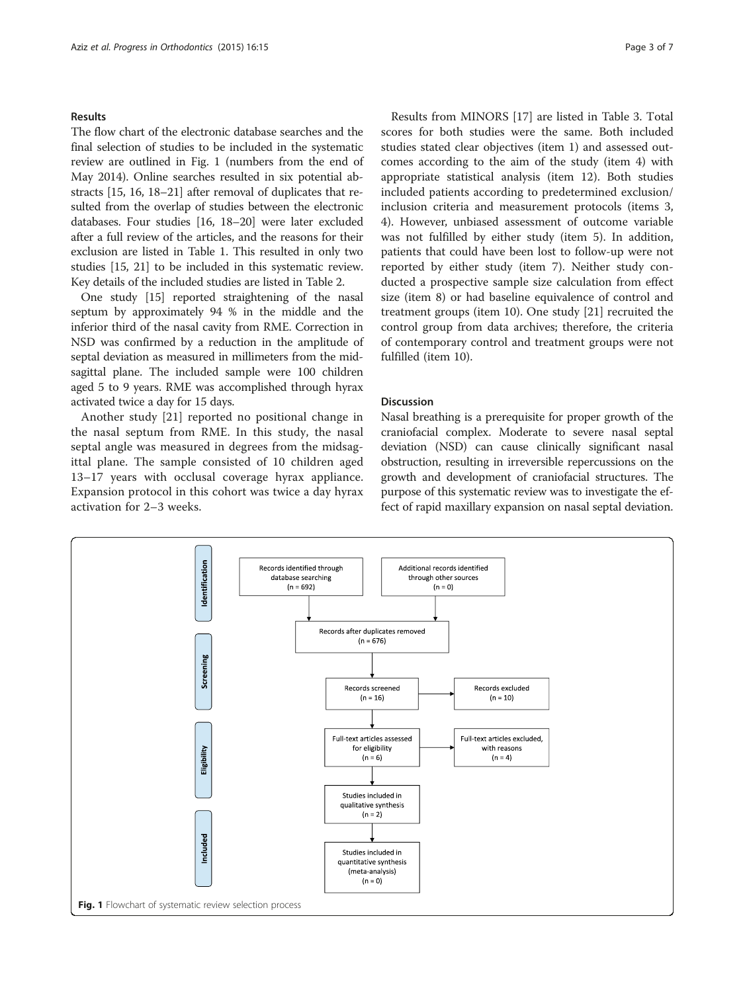# Results

The flow chart of the electronic database searches and the final selection of studies to be included in the systematic review are outlined in Fig. 1 (numbers from the end of May 2014). Online searches resulted in six potential abstracts [[15](#page-6-0), [16](#page-6-0), [18](#page-6-0)–[21](#page-6-0)] after removal of duplicates that resulted from the overlap of studies between the electronic databases. Four studies [\[16, 18](#page-6-0)–[20](#page-6-0)] were later excluded after a full review of the articles, and the reasons for their exclusion are listed in Table [1](#page-3-0). This resulted in only two studies [\[15, 21\]](#page-6-0) to be included in this systematic review. Key details of the included studies are listed in Table [2.](#page-3-0)

One study [\[15\]](#page-6-0) reported straightening of the nasal septum by approximately 94 % in the middle and the inferior third of the nasal cavity from RME. Correction in NSD was confirmed by a reduction in the amplitude of septal deviation as measured in millimeters from the midsagittal plane. The included sample were 100 children aged 5 to 9 years. RME was accomplished through hyrax activated twice a day for 15 days.

Another study [[21\]](#page-6-0) reported no positional change in the nasal septum from RME. In this study, the nasal septal angle was measured in degrees from the midsagittal plane. The sample consisted of 10 children aged 13–17 years with occlusal coverage hyrax appliance. Expansion protocol in this cohort was twice a day hyrax activation for 2–3 weeks.

Results from MINORS [\[17\]](#page-6-0) are listed in Table [3](#page-4-0). Total scores for both studies were the same. Both included studies stated clear objectives (item 1) and assessed outcomes according to the aim of the study (item 4) with appropriate statistical analysis (item 12). Both studies included patients according to predetermined exclusion/ inclusion criteria and measurement protocols (items 3, 4). However, unbiased assessment of outcome variable was not fulfilled by either study (item 5). In addition, patients that could have been lost to follow-up were not reported by either study (item 7). Neither study conducted a prospective sample size calculation from effect size (item 8) or had baseline equivalence of control and treatment groups (item 10). One study [[21\]](#page-6-0) recruited the control group from data archives; therefore, the criteria of contemporary control and treatment groups were not fulfilled (item 10).

### Discussion

Nasal breathing is a prerequisite for proper growth of the craniofacial complex. Moderate to severe nasal septal deviation (NSD) can cause clinically significant nasal obstruction, resulting in irreversible repercussions on the growth and development of craniofacial structures. The purpose of this systematic review was to investigate the effect of rapid maxillary expansion on nasal septal deviation.

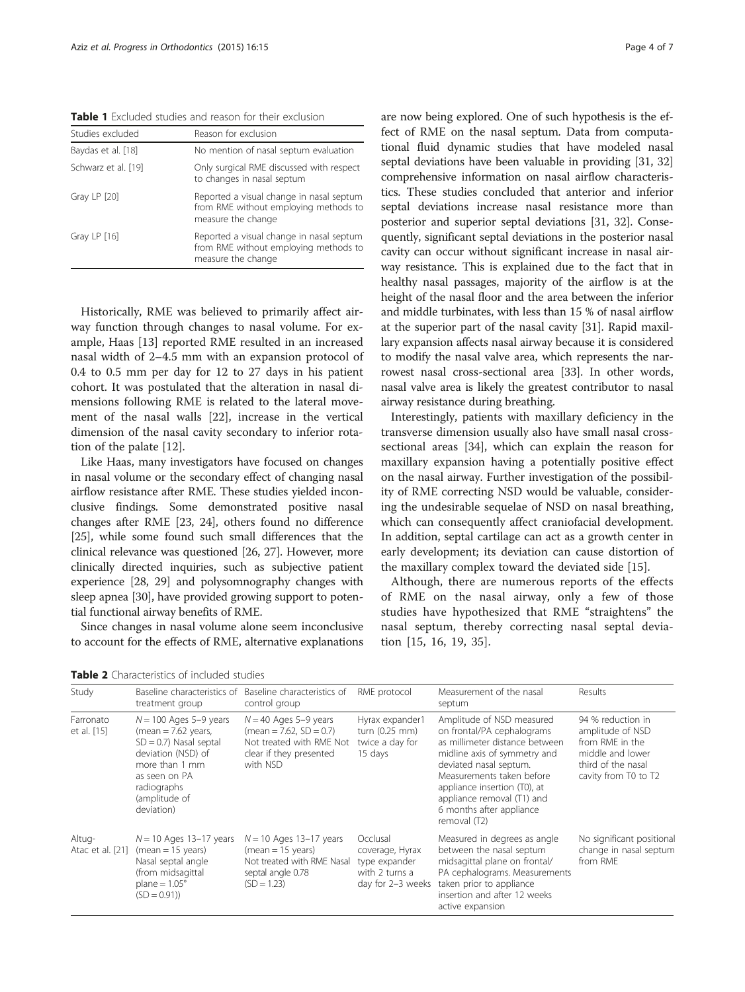<span id="page-3-0"></span>**Table 1** Excluded studies and reason for their exclusion

| Studies excluded    | Reason for exclusion                                                                                    |  |  |
|---------------------|---------------------------------------------------------------------------------------------------------|--|--|
| Baydas et al. [18]  | No mention of nasal septum evaluation                                                                   |  |  |
| Schwarz et al. [19] | Only surgical RME discussed with respect<br>to changes in nasal septum                                  |  |  |
| Gray LP [20]        | Reported a visual change in nasal septum<br>from RME without employing methods to<br>measure the change |  |  |
| Gray LP $[16]$      | Reported a visual change in nasal septum<br>from RME without employing methods to<br>measure the change |  |  |

Historically, RME was believed to primarily affect airway function through changes to nasal volume. For example, Haas [[13](#page-6-0)] reported RME resulted in an increased nasal width of 2–4.5 mm with an expansion protocol of 0.4 to 0.5 mm per day for 12 to 27 days in his patient cohort. It was postulated that the alteration in nasal dimensions following RME is related to the lateral movement of the nasal walls [[22\]](#page-6-0), increase in the vertical dimension of the nasal cavity secondary to inferior rotation of the palate [[12\]](#page-6-0).

Like Haas, many investigators have focused on changes in nasal volume or the secondary effect of changing nasal airflow resistance after RME. These studies yielded inconclusive findings. Some demonstrated positive nasal changes after RME [[23](#page-6-0), [24](#page-6-0)], others found no difference [[25](#page-6-0)], while some found such small differences that the clinical relevance was questioned [\[26, 27\]](#page-6-0). However, more clinically directed inquiries, such as subjective patient experience [\[28, 29](#page-6-0)] and polysomnography changes with sleep apnea [\[30](#page-6-0)], have provided growing support to potential functional airway benefits of RME.

Since changes in nasal volume alone seem inconclusive to account for the effects of RME, alternative explanations

are now being explored. One of such hypothesis is the effect of RME on the nasal septum. Data from computational fluid dynamic studies that have modeled nasal septal deviations have been valuable in providing [[31](#page-6-0), [32](#page-6-0)] comprehensive information on nasal airflow characteristics. These studies concluded that anterior and inferior septal deviations increase nasal resistance more than posterior and superior septal deviations [\[31](#page-6-0), [32\]](#page-6-0). Consequently, significant septal deviations in the posterior nasal cavity can occur without significant increase in nasal airway resistance. This is explained due to the fact that in healthy nasal passages, majority of the airflow is at the height of the nasal floor and the area between the inferior and middle turbinates, with less than 15 % of nasal airflow at the superior part of the nasal cavity [\[31\]](#page-6-0). Rapid maxillary expansion affects nasal airway because it is considered to modify the nasal valve area, which represents the narrowest nasal cross-sectional area [\[33](#page-6-0)]. In other words, nasal valve area is likely the greatest contributor to nasal airway resistance during breathing.

Interestingly, patients with maxillary deficiency in the transverse dimension usually also have small nasal crosssectional areas [\[34](#page-6-0)], which can explain the reason for maxillary expansion having a potentially positive effect on the nasal airway. Further investigation of the possibility of RME correcting NSD would be valuable, considering the undesirable sequelae of NSD on nasal breathing, which can consequently affect craniofacial development. In addition, septal cartilage can act as a growth center in early development; its deviation can cause distortion of the maxillary complex toward the deviated side [[15\]](#page-6-0).

Although, there are numerous reports of the effects of RME on the nasal airway, only a few of those studies have hypothesized that RME "straightens" the nasal septum, thereby correcting nasal septal deviation [[15, 16, 19, 35](#page-6-0)].

Table 2 Characteristics of included studies

| Study                      | Baseline characteristics of<br>treatment group                                                                                                                                                | Baseline characteristics of<br>control group                                                                                 | RME protocol                                                                        | Measurement of the nasal<br>septum                                                                                                                                                                                                                                                         | Results                                                                                                                    |
|----------------------------|-----------------------------------------------------------------------------------------------------------------------------------------------------------------------------------------------|------------------------------------------------------------------------------------------------------------------------------|-------------------------------------------------------------------------------------|--------------------------------------------------------------------------------------------------------------------------------------------------------------------------------------------------------------------------------------------------------------------------------------------|----------------------------------------------------------------------------------------------------------------------------|
| Farronato<br>et al. [15]   | $N = 100$ Ages 5-9 years<br>$(mean = 7.62 \text{ years})$<br>$SD = 0.7$ ) Nasal septal<br>deviation (NSD) of<br>more than 1 mm<br>as seen on PA<br>radiographs<br>(amplitude of<br>deviation) | $N = 40$ Ages 5-9 years<br>$mean = 7.62$ , $SD = 0.7$ )<br>Not treated with RME Not<br>clear if they presented<br>with NSD   | Hyrax expander1<br>turn $(0.25$ mm $)$<br>twice a day for<br>15 days                | Amplitude of NSD measured<br>on frontal/PA cephalograms<br>as millimeter distance between<br>midline axis of symmetry and<br>deviated nasal septum.<br>Measurements taken before<br>appliance insertion (T0), at<br>appliance removal (T1) and<br>6 months after appliance<br>removal (T2) | 94 % reduction in<br>amplitude of NSD<br>from RME in the<br>middle and lower<br>third of the nasal<br>cavity from T0 to T2 |
| Altug-<br>Atac et al. [21] | $N = 10$ Ages 13-17 years<br>$(mean = 15 \text{ years})$<br>Nasal septal angle<br>(from midsagittal<br>plane = $1.05^\circ$<br>$(SD = 0.91)$                                                  | $N = 10$ Ages 13-17 years<br>$(mean = 15 \text{ years})$<br>Not treated with RME Nasal<br>septal angle 0.78<br>$(SD = 1.23)$ | Occlusal<br>coverage, Hyrax<br>type expander<br>with 2 turns a<br>day for 2-3 weeks | Measured in degrees as angle<br>between the nasal septum<br>midsagittal plane on frontal/<br>PA cephalograms. Measurements<br>taken prior to appliance<br>insertion and after 12 weeks<br>active expansion                                                                                 | No significant positional<br>change in nasal septum<br>from RME                                                            |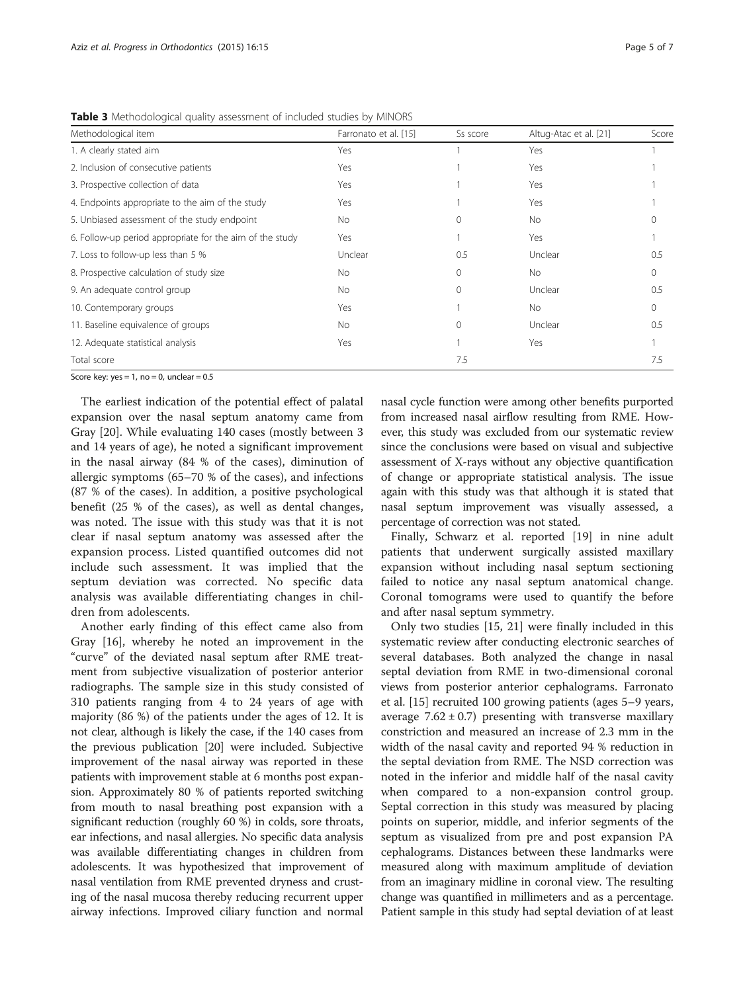| Methodological item                                      | Farronato et al. [15] | Ss score | Altug-Atac et al. [21] | Score        |
|----------------------------------------------------------|-----------------------|----------|------------------------|--------------|
| 1. A clearly stated aim                                  | Yes                   |          | Yes                    |              |
| 2. Inclusion of consecutive patients                     | Yes                   |          | Yes                    |              |
| 3. Prospective collection of data                        | Yes                   |          | Yes                    |              |
| 4. Endpoints appropriate to the aim of the study         | Yes                   |          | Yes                    |              |
| 5. Unbiased assessment of the study endpoint             | No                    | 0        | No                     | 0            |
| 6. Follow-up period appropriate for the aim of the study | Yes                   |          | Yes                    |              |
| 7. Loss to follow-up less than 5 %                       | Unclear               | 0.5      | Unclear                | 0.5          |
| 8. Prospective calculation of study size                 | No                    | 0        | <b>No</b>              | $\mathbf{0}$ |
| 9. An adequate control group                             | No                    | 0        | Unclear                | 0.5          |
| 10. Contemporary groups                                  | Yes                   |          | No                     | $\circ$      |
| 11. Baseline equivalence of groups                       | <b>No</b>             | $\Omega$ | Unclear                | 0.5          |
| 12. Adequate statistical analysis                        | Yes                   |          | Yes                    |              |
| Total score                                              |                       | 7.5      |                        | 7.5          |

<span id="page-4-0"></span>Table 3 Methodological quality assessment of included studies by MINORS

Score key: yes = 1, no = 0, unclear =  $0.5$ 

The earliest indication of the potential effect of palatal expansion over the nasal septum anatomy came from Gray [[20\]](#page-6-0). While evaluating 140 cases (mostly between 3 and 14 years of age), he noted a significant improvement in the nasal airway (84 % of the cases), diminution of allergic symptoms (65–70 % of the cases), and infections (87 % of the cases). In addition, a positive psychological benefit (25 % of the cases), as well as dental changes, was noted. The issue with this study was that it is not clear if nasal septum anatomy was assessed after the expansion process. Listed quantified outcomes did not include such assessment. It was implied that the septum deviation was corrected. No specific data analysis was available differentiating changes in children from adolescents.

Another early finding of this effect came also from Gray [[16\]](#page-6-0), whereby he noted an improvement in the "curve" of the deviated nasal septum after RME treatment from subjective visualization of posterior anterior radiographs. The sample size in this study consisted of 310 patients ranging from 4 to 24 years of age with majority (86 %) of the patients under the ages of 12. It is not clear, although is likely the case, if the 140 cases from the previous publication [[20](#page-6-0)] were included. Subjective improvement of the nasal airway was reported in these patients with improvement stable at 6 months post expansion. Approximately 80 % of patients reported switching from mouth to nasal breathing post expansion with a significant reduction (roughly 60 %) in colds, sore throats, ear infections, and nasal allergies. No specific data analysis was available differentiating changes in children from adolescents. It was hypothesized that improvement of nasal ventilation from RME prevented dryness and crusting of the nasal mucosa thereby reducing recurrent upper airway infections. Improved ciliary function and normal nasal cycle function were among other benefits purported from increased nasal airflow resulting from RME. However, this study was excluded from our systematic review since the conclusions were based on visual and subjective assessment of X-rays without any objective quantification of change or appropriate statistical analysis. The issue again with this study was that although it is stated that nasal septum improvement was visually assessed, a percentage of correction was not stated.

Finally, Schwarz et al. reported [[19\]](#page-6-0) in nine adult patients that underwent surgically assisted maxillary expansion without including nasal septum sectioning failed to notice any nasal septum anatomical change. Coronal tomograms were used to quantify the before and after nasal septum symmetry.

Only two studies [\[15, 21](#page-6-0)] were finally included in this systematic review after conducting electronic searches of several databases. Both analyzed the change in nasal septal deviation from RME in two-dimensional coronal views from posterior anterior cephalograms. Farronato et al. [\[15\]](#page-6-0) recruited 100 growing patients (ages 5–9 years, average  $7.62 \pm 0.7$ ) presenting with transverse maxillary constriction and measured an increase of 2.3 mm in the width of the nasal cavity and reported 94 % reduction in the septal deviation from RME. The NSD correction was noted in the inferior and middle half of the nasal cavity when compared to a non-expansion control group. Septal correction in this study was measured by placing points on superior, middle, and inferior segments of the septum as visualized from pre and post expansion PA cephalograms. Distances between these landmarks were measured along with maximum amplitude of deviation from an imaginary midline in coronal view. The resulting change was quantified in millimeters and as a percentage. Patient sample in this study had septal deviation of at least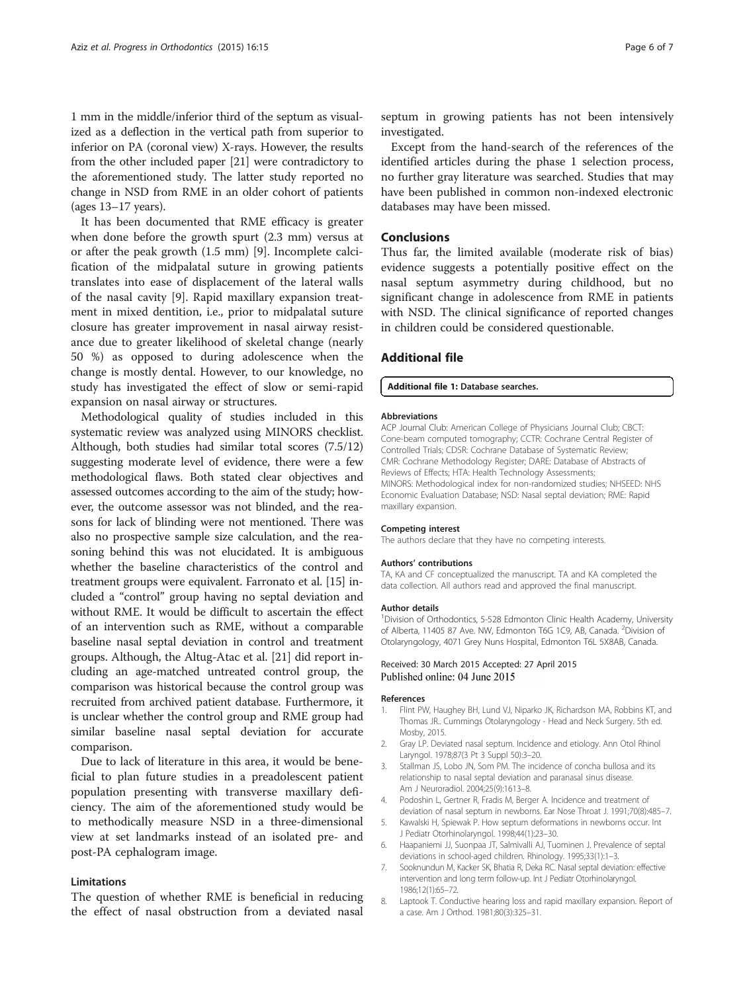<span id="page-5-0"></span>1 mm in the middle/inferior third of the septum as visualized as a deflection in the vertical path from superior to inferior on PA (coronal view) X-rays. However, the results from the other included paper [[21](#page-6-0)] were contradictory to the aforementioned study. The latter study reported no change in NSD from RME in an older cohort of patients (ages 13–17 years).

It has been documented that RME efficacy is greater when done before the growth spurt (2.3 mm) versus at or after the peak growth (1.5 mm) [[9\]](#page-6-0). Incomplete calcification of the midpalatal suture in growing patients translates into ease of displacement of the lateral walls of the nasal cavity [\[9](#page-6-0)]. Rapid maxillary expansion treatment in mixed dentition, i.e., prior to midpalatal suture closure has greater improvement in nasal airway resistance due to greater likelihood of skeletal change (nearly 50 %) as opposed to during adolescence when the change is mostly dental. However, to our knowledge, no study has investigated the effect of slow or semi-rapid expansion on nasal airway or structures.

Methodological quality of studies included in this systematic review was analyzed using MINORS checklist. Although, both studies had similar total scores (7.5/12) suggesting moderate level of evidence, there were a few methodological flaws. Both stated clear objectives and assessed outcomes according to the aim of the study; however, the outcome assessor was not blinded, and the reasons for lack of blinding were not mentioned. There was also no prospective sample size calculation, and the reasoning behind this was not elucidated. It is ambiguous whether the baseline characteristics of the control and treatment groups were equivalent. Farronato et al. [[15](#page-6-0)] included a "control" group having no septal deviation and without RME. It would be difficult to ascertain the effect of an intervention such as RME, without a comparable baseline nasal septal deviation in control and treatment groups. Although, the Altug-Atac et al. [\[21\]](#page-6-0) did report including an age-matched untreated control group, the comparison was historical because the control group was recruited from archived patient database. Furthermore, it is unclear whether the control group and RME group had similar baseline nasal septal deviation for accurate comparison.

Due to lack of literature in this area, it would be beneficial to plan future studies in a preadolescent patient population presenting with transverse maxillary deficiency. The aim of the aforementioned study would be to methodically measure NSD in a three-dimensional view at set landmarks instead of an isolated pre- and post-PA cephalogram image.

# Limitations

The question of whether RME is beneficial in reducing the effect of nasal obstruction from a deviated nasal septum in growing patients has not been intensively investigated.

Except from the hand-search of the references of the identified articles during the phase 1 selection process, no further gray literature was searched. Studies that may have been published in common non-indexed electronic databases may have been missed.

# Conclusions

Thus far, the limited available (moderate risk of bias) evidence suggests a potentially positive effect on the nasal septum asymmetry during childhood, but no significant change in adolescence from RME in patients with NSD. The clinical significance of reported changes in children could be considered questionable.

# Additional file

#### [Additional file 1:](http://www.progressinorthodontics.com/content/supplementary/s40510-015-0084-y-s1.doc) Database searches.

#### Abbreviations

ACP Journal Club: American College of Physicians Journal Club; CBCT: Cone-beam computed tomography; CCTR: Cochrane Central Register of Controlled Trials; CDSR: Cochrane Database of Systematic Review; CMR: Cochrane Methodology Register; DARE: Database of Abstracts of Reviews of Effects; HTA: Health Technology Assessments; MINORS: Methodological index for non-randomized studies; NHSEED: NHS Economic Evaluation Database; NSD: Nasal septal deviation; RME: Rapid maxillary expansion.

#### Competing interest

The authors declare that they have no competing interests.

#### Authors' contributions

TA, KA and CF conceptualized the manuscript. TA and KA completed the data collection. All authors read and approved the final manuscript.

#### Author details

<sup>1</sup> Division of Orthodontics, 5-528 Edmonton Clinic Health Academy, University of Alberta, 11405 87 Ave. NW, Edmonton T6G 1C9, AB, Canada. <sup>2</sup>Division of Otolaryngology, 4071 Grey Nuns Hospital, Edmonton T6L 5X8AB, Canada.

#### Received: 30 March 2015 Accepted: 27 April 2015 Published online: 04 June 2015

#### References

- Flint PW, Haughey BH, Lund VJ, Niparko JK, Richardson MA, Robbins KT, and Thomas JR.. Cummings Otolaryngology - Head and Neck Surgery. 5th ed. Mosby, 2015.
- 2. Gray LP. Deviated nasal septum. Incidence and etiology. Ann Otol Rhinol Laryngol. 1978;87(3 Pt 3 Suppl 50):3–20.
- 3. Stallman JS, Lobo JN, Som PM. The incidence of concha bullosa and its relationship to nasal septal deviation and paranasal sinus disease. Am J Neuroradiol. 2004;25(9):1613–8.
- 4. Podoshin L, Gertner R, Fradis M, Berger A. Incidence and treatment of deviation of nasal septum in newborns. Ear Nose Throat J. 1991;70(8):485–7.
- 5. Kawalski H, Spiewak P. How septum deformations in newborns occur. Int J Pediatr Otorhinolaryngol. 1998;44(1):23–30.
- 6. Haapaniemi JJ, Suonpaa JT, Salmivalli AJ, Tuominen J. Prevalence of septal deviations in school-aged children. Rhinology. 1995;33(1):1–3.
- 7. Sooknundun M, Kacker SK, Bhatia R, Deka RC. Nasal septal deviation: effective intervention and long term follow-up. Int J Pediatr Otorhinolaryngol. 1986;12(1):65–72.
- 8. Laptook T. Conductive hearing loss and rapid maxillary expansion. Report of a case. Am J Orthod. 1981;80(3):325–31.